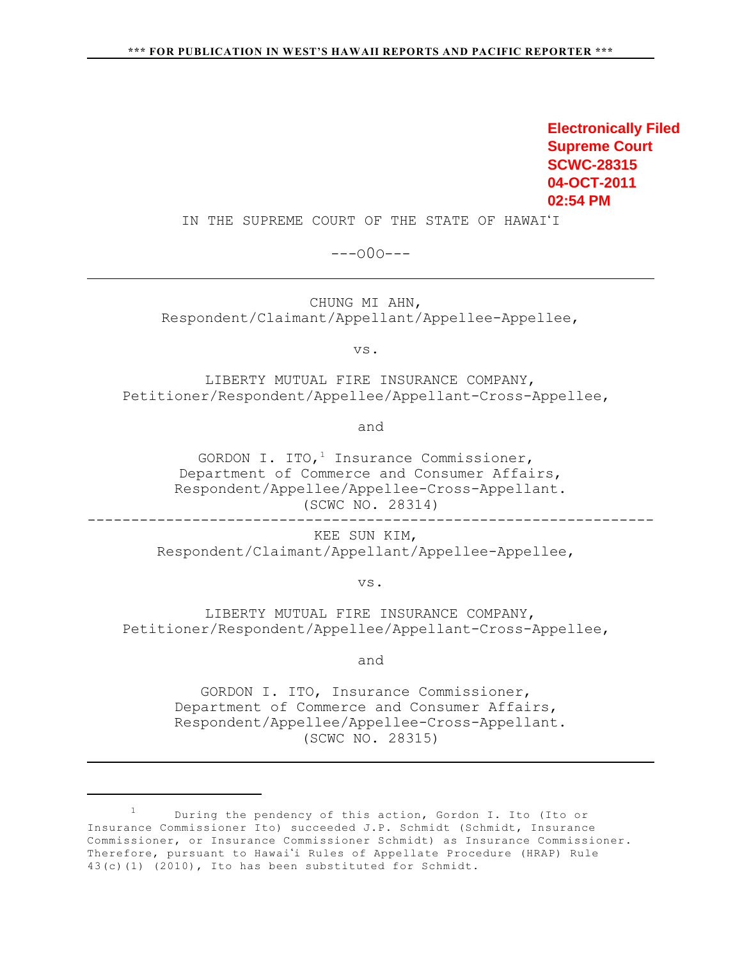**Electronically Filed Supreme Court SCWC-28315 04-OCT-2011 02:54 PM**

-----------------------------------------------------------------

IN THE SUPREME COURT OF THE STATE OF HAWAI'I

---O0O---

CHUNG MI AHN, Respondent/Claimant/Appellant/Appellee-Appellee,

vs.

LIBERTY MUTUAL FIRE INSURANCE COMPANY, Petitioner/Respondent/Appellee/Appellant-Cross-Appellee,

and

GORDON I. ITO,<sup>1</sup> Insurance Commissioner, Department of Commerce and Consumer Affairs, Respondent/Appellee/Appellee-Cross-Appellant. (SCWC NO. 28314)

KEE SUN KIM, Respondent/Claimant/Appellant/Appellee-Appellee,

vs.

LIBERTY MUTUAL FIRE INSURANCE COMPANY, Petitioner/Respondent/Appellee/Appellant-Cross-Appellee,

and

GORDON I. ITO, Insurance Commissioner, Department of Commerce and Consumer Affairs, Respondent/Appellee/Appellee-Cross-Appellant. (SCWC NO. 28315)

During the pendency of this action, Gordon I. Ito (Ito or <sup>1</sup> Insurance Commissioner Ito) succeeded J.P. Schmidt (Schmidt, Insurance Commissioner, or Insurance Commissioner Schmidt) as Insurance Commissioner. Therefore, pursuant to Hawai'i Rules of Appellate Procedure (HRAP) Rule 43(c)(1) (2010), Ito has been substituted for Schmidt.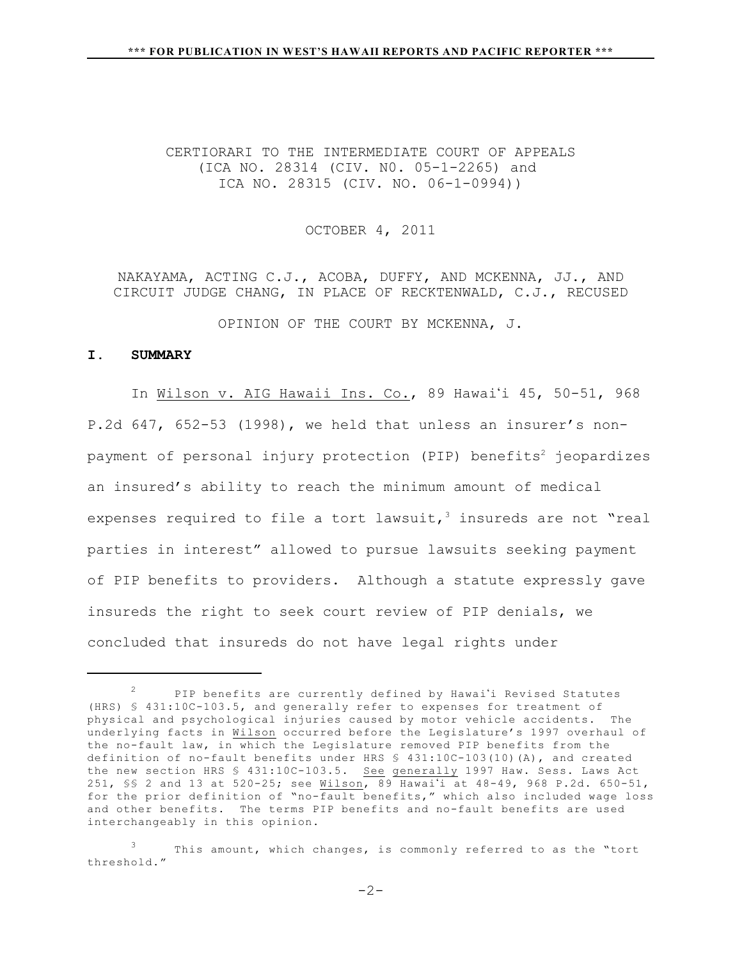# CERTIORARI TO THE INTERMEDIATE COURT OF APPEALS (ICA NO. 28314 (CIV. N0. 05-1-2265) and ICA NO. 28315 (CIV. NO. 06-1-0994))

#### OCTOBER 4, 2011

NAKAYAMA, ACTING C.J., ACOBA, DUFFY, AND MCKENNA, JJ., AND CIRCUIT JUDGE CHANG, IN PLACE OF RECKTENWALD, C.J., RECUSED

OPINION OF THE COURT BY MCKENNA, J.

#### **I. SUMMARY**

In Wilson v. AIG Hawaii Ins. Co., 89 Hawai'i 45, 50-51, 968 P.2d 647, 652-53 (1998), we held that unless an insurer's nonpayment of personal injury protection (PIP) benefits<sup>2</sup> jeopardizes an insured's ability to reach the minimum amount of medical expenses required to file a tort lawsuit,  $3$  insureds are not "real parties in interest" allowed to pursue lawsuits seeking payment of PIP benefits to providers. Although a statute expressly gave insureds the right to seek court review of PIP denials, we concluded that insureds do not have legal rights under

 $P$  PIP benefits are currently defined by Hawai'i Revised Statutes (HRS) § 431:10C-103.5, and generally refer to expenses for treatment of physical and psychological injuries caused by motor vehicle accidents. The underlying facts in Wilson occurred before the Legislature's 1997 overhaul of the no-fault law, in which the Legislature removed PIP benefits from the definition of no-fault benefits under HRS § 431:10C-103(10)(A), and created the new section HRS § 431:10C-103.5. See generally 1997 Haw. Sess. Laws Act 251, SS 2 and 13 at 520-25; see Wilson, 89 Hawai'i at 48-49, 968 P.2d. 650-51, for the prior definition of "no-fault benefits," which also included wage loss and other benefits. The terms PIP benefits and no-fault benefits are used interchangeably in this opinion.

This amount, which changes, is commonly referred to as the "tort threshold."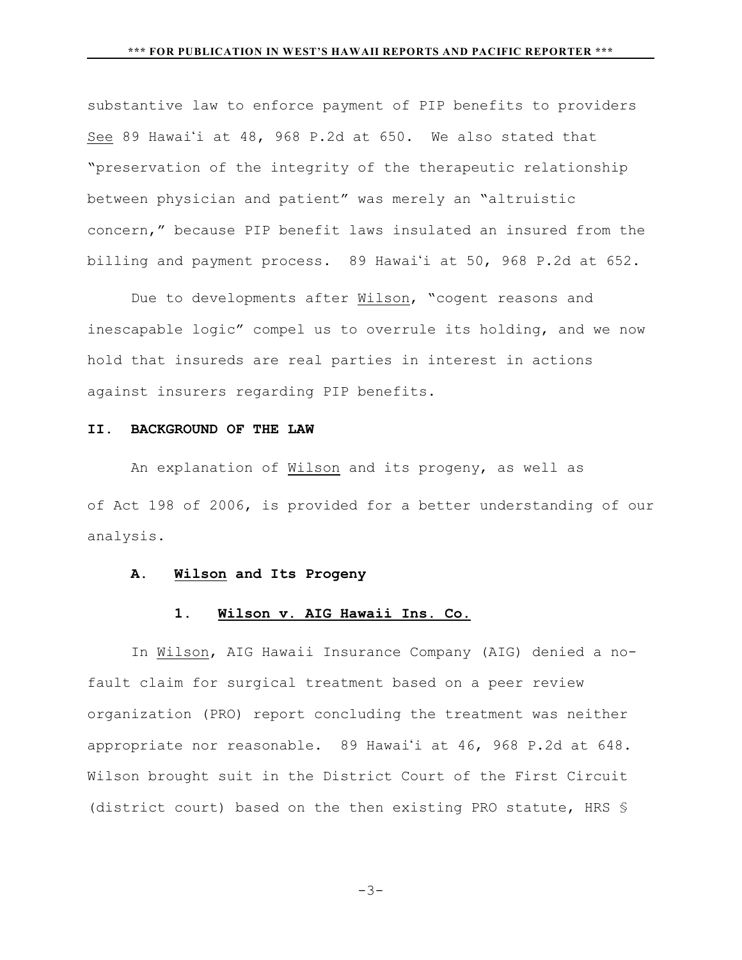substantive law to enforce payment of PIP benefits to providers See 89 Hawai'i at 48, 968 P.2d at 650. We also stated that "preservation of the integrity of the therapeutic relationship between physician and patient" was merely an "altruistic concern," because PIP benefit laws insulated an insured from the billing and payment process. 89 Hawai'i at 50, 968 P.2d at 652.

Due to developments after Wilson, "cogent reasons and inescapable logic" compel us to overrule its holding, and we now hold that insureds are real parties in interest in actions against insurers regarding PIP benefits.

### **II. BACKGROUND OF THE LAW**

An explanation of Wilson and its progeny, as well as of Act 198 of 2006, is provided for a better understanding of our analysis.

## **A. Wilson and Its Progeny**

# **1. Wilson v. AIG Hawaii Ins. Co.**

In Wilson, AIG Hawaii Insurance Company (AIG) denied a nofault claim for surgical treatment based on a peer review organization (PRO) report concluding the treatment was neither appropriate nor reasonable. 89 Hawai'i at 46, 968 P.2d at 648. Wilson brought suit in the District Court of the First Circuit (district court) based on the then existing PRO statute, HRS §

$$
-3-
$$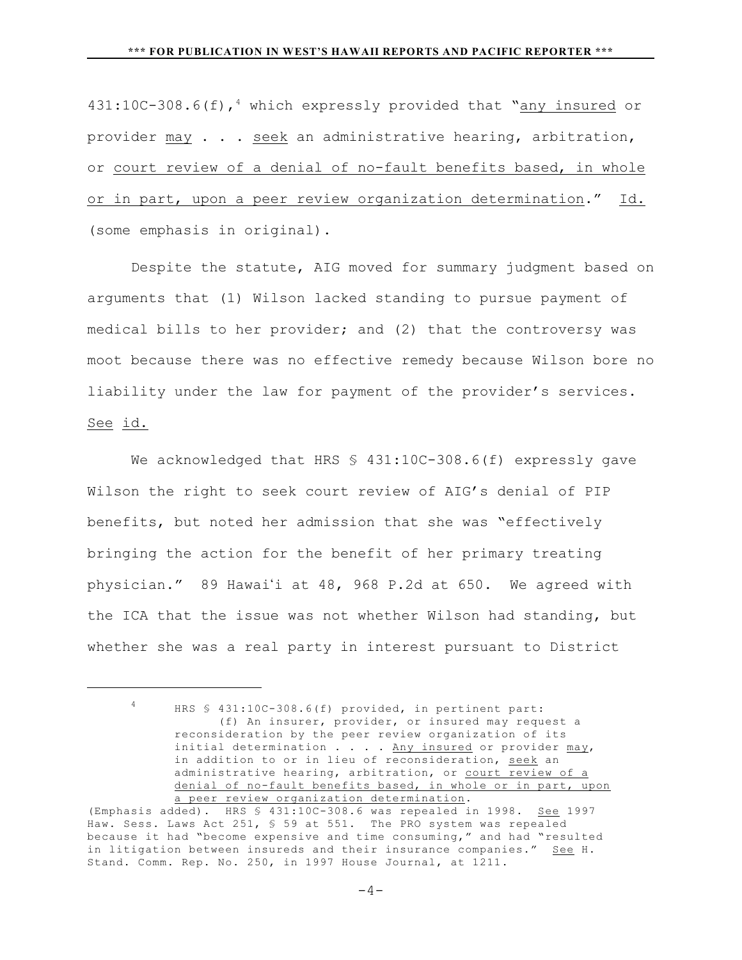$431:10C-308.6(f)$ , which expressly provided that "any insured or provider may . . . seek an administrative hearing, arbitration, or court review of a denial of no-fault benefits based, in whole or in part, upon a peer review organization determination." Id. (some emphasis in original).

Despite the statute, AIG moved for summary judgment based on arguments that (1) Wilson lacked standing to pursue payment of medical bills to her provider; and (2) that the controversy was moot because there was no effective remedy because Wilson bore no liability under the law for payment of the provider's services. See id.

We acknowledged that HRS § 431:10C-308.6(f) expressly gave Wilson the right to seek court review of AIG's denial of PIP benefits, but noted her admission that she was "effectively bringing the action for the benefit of her primary treating physician." 89 Hawai'i at 48, 968 P.2d at 650. We agreed with the ICA that the issue was not whether Wilson had standing, but whether she was a real party in interest pursuant to District

<sup>4</sup> HRS § 431:10C-308.6(f) provided, in pertinent part: (f) An insurer, provider, or insured may request a reconsideration by the peer review organization of its initial determination  $\ldots$  . Any insured or provider  $\texttt{may}$ , in addition to or in lieu of reconsideration, seek an administrative hearing, arbitration, or court review of a denial of no-fault benefits based, in whole or in part, upon a peer review organization determination.

<sup>(</sup>Emphasis added). HRS § 431:10C-308.6 was repealed in 1998. See 1997 Haw. Sess. Laws Act 251, § 59 at 551. The PRO system was repealed because it had "become expensive and time consuming," and had "resulted in litigation between insureds and their insurance companies." See H. Stand. Comm. Rep. No. 250, in 1997 House Journal, at 1211.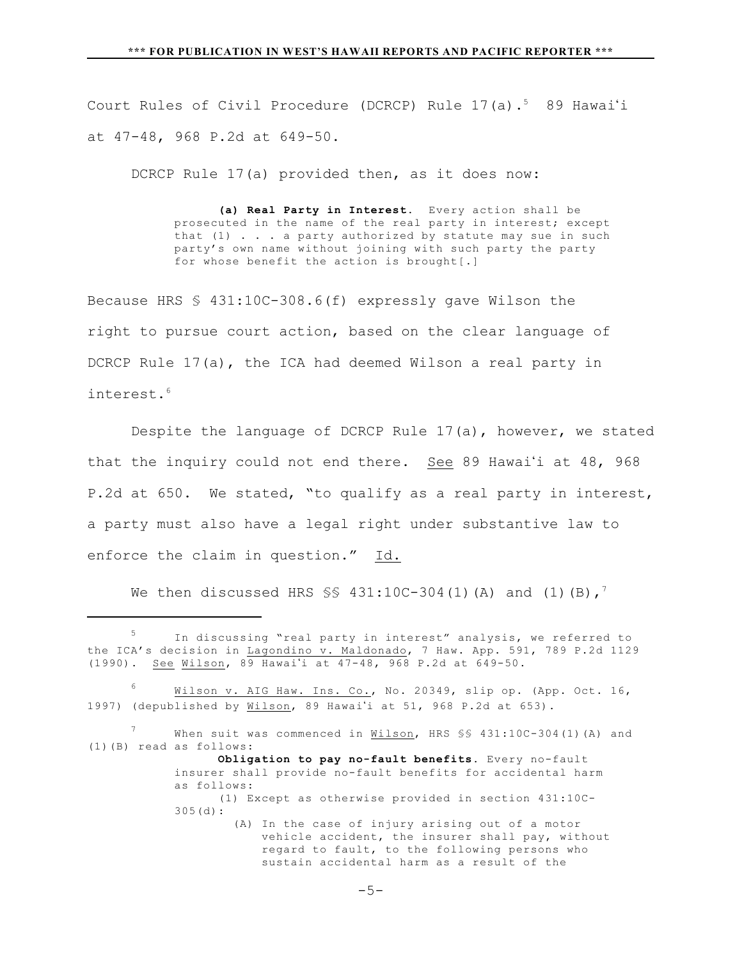Court Rules of Civil Procedure (DCRCP) Rule  $17$ (a). $^5$  89 Hawai'i at 47-48, 968 P.2d at 649-50.

DCRCP Rule 17(a) provided then, as it does now:

**(a) Real Party in Interest.** Every action shall be prosecuted in the name of the real party in interest; except that  $(1)$  . . . a party authorized by statute may sue in such party's own name without joining with such party the party for whose benefit the action is brought[.]

Because HRS § 431:10C-308.6(f) expressly gave Wilson the right to pursue court action, based on the clear language of DCRCP Rule 17(a), the ICA had deemed Wilson a real party in interest.<sup>6</sup>

Despite the language of DCRCP Rule 17(a), however, we stated that the inquiry could not end there. See 89 Hawai'i at  $48$ ,  $968$ P.2d at 650. We stated, "to qualify as a real party in interest, a party must also have a legal right under substantive law to enforce the claim in question." Id.

We then discussed HRS  $\S$ \$ 431:10C-304(1)(A) and (1)(B),<sup>7</sup>

 $5$  In discussing "real party in interest" analysis, we referred to the ICA's decision in Lagondino v. Maldonado, 7 Haw. App. 591, 789 P.2d 1129  $(1990)$ . See Wilson,  $89$  Hawai'i at  $47-48$ ,  $968$  P.2d at  $649-50$ .

Wilson v. AIG Haw. Ins. Co., No. 20349, slip op. (App. Oct. 16, 1997) (depublished by Wilson, 89 Hawai'i at 51, 968 P.2d at 653).

When suit was commenced in Wilson, HRS \$\$ 431:10C-304(1)(A) and (1)(B) read as follows:

**Obligation to pay no-fault benefits.** Every no-fault insurer shall provide no-fault benefits for accidental harm as follows:

<sup>(1)</sup> Except as otherwise provided in section 431:10C-305(d):

 <sup>(</sup>A) In the case of injury arising out of a motor vehicle accident, the insurer shall pay, without regard to fault, to the following persons who sustain accidental harm as a result of the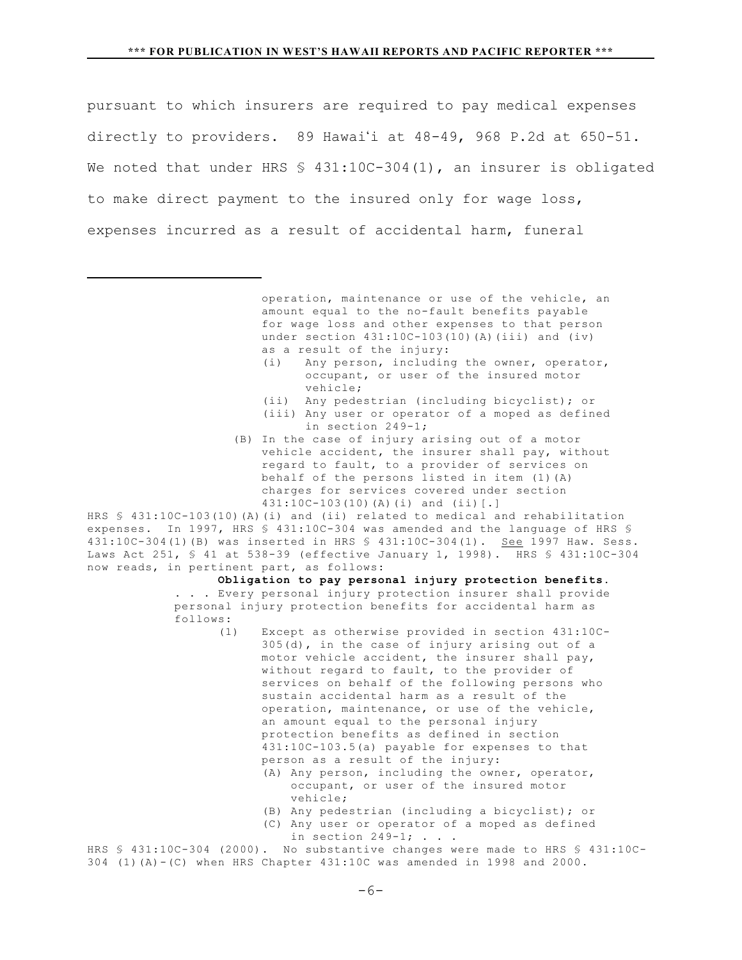pursuant to which insurers are required to pay medical expenses directly to providers. 89 Hawai'i at  $48-49$ , 968 P.2d at 650-51. We noted that under HRS  $$ 431:10C-304(1)$ , an insurer is obligated to make direct payment to the insured only for wage loss, expenses incurred as a result of accidental harm, funeral

> operation, maintenance or use of the vehicle, an amount equal to the no-fault benefits payable for wage loss and other expenses to that person under section  $431:10C-103(10)$  (A)(iii) and (iv) as a result of the injury:

- (i) Any person, including the owner, operator, occupant, or user of the insured motor vehicle;
- (ii) Any pedestrian (including bicyclist); or
- (iii) Any user or operator of a moped as defined in section 249-1;
- (B) In the case of injury arising out of a motor vehicle accident, the insurer shall pay, without regard to fault, to a provider of services on behalf of the persons listed in item (1)(A) charges for services covered under section 431:10C-103(10)(A)(i) and (ii)[.]

HRS § 431:10C-103(10)(A)(i) and (ii) related to medical and rehabilitation expenses. In 1997, HRS § 431:10C-304 was amended and the language of HRS § 431:10C-304(1)(B) was inserted in HRS § 431:10C-304(1). See 1997 Haw. Sess. Laws Act 251, § 41 at 538-39 (effective January 1, 1998). HRS § 431:10C-304 now reads, in pertinent part, as follows:

**Obligation to pay personal injury protection benefits.** . . . Every personal injury protection insurer shall provide personal injury protection benefits for accidental harm as follows:

- (1) Except as otherwise provided in section 431:10C-305(d), in the case of injury arising out of a motor vehicle accident, the insurer shall pay, without regard to fault, to the provider of services on behalf of the following persons who sustain accidental harm as a result of the operation, maintenance, or use of the vehicle, an amount equal to the personal injury protection benefits as defined in section 431:10C-103.5(a) payable for expenses to that person as a result of the injury:
	- (A) Any person, including the owner, operator, occupant, or user of the insured motor vehicle;
	- (B) Any pedestrian (including a bicyclist); or
	- (C) Any user or operator of a moped as defined in section  $249-1; . . .$

HRS § 431:10C-304 (2000). No substantive changes were made to HRS § 431:10C- $304$  (1)(A)-(C) when HRS Chapter  $431:10C$  was amended in 1998 and 2000.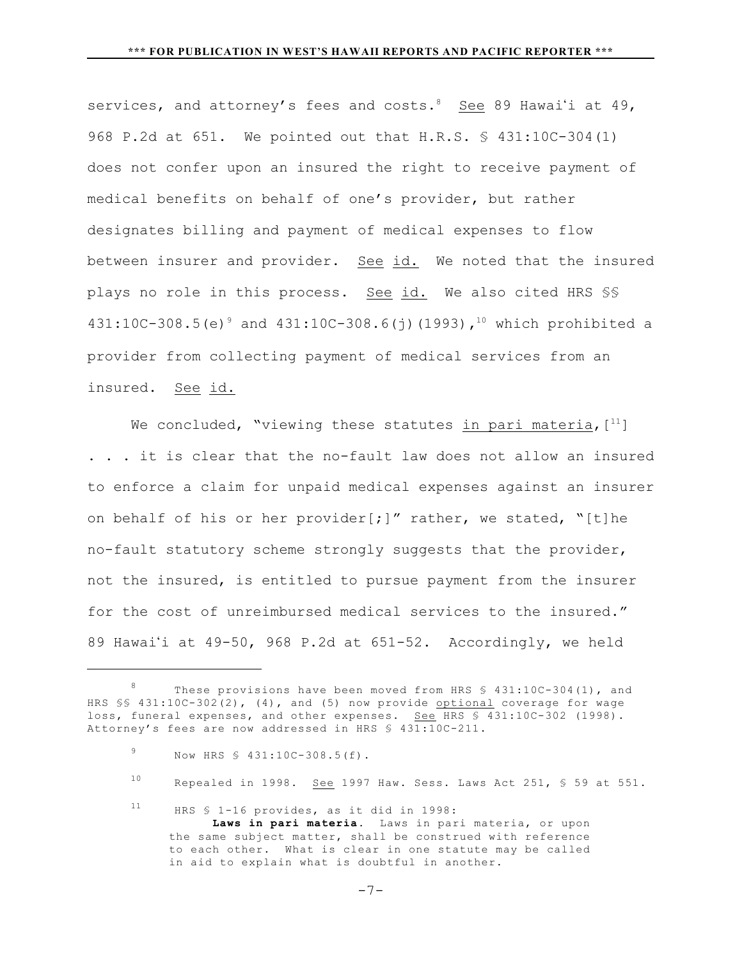services, and attorney's fees and costs.  $8$  See 89 Hawai'i at 49, 968 P.2d at 651. We pointed out that H.R.S. § 431:10C-304(1) does not confer upon an insured the right to receive payment of medical benefits on behalf of one's provider, but rather designates billing and payment of medical expenses to flow between insurer and provider. See id. We noted that the insured plays no role in this process. See id. We also cited HRS §§ 431:10C-308.5(e) and 431:10C-308.6(j)(1993)**,** which prohibited a 9 10 provider from collecting payment of medical services from an insured. See id.

We concluded, "viewing these statutes in pari materia,  $[11]$ . . . it is clear that the no-fault law does not allow an insured to enforce a claim for unpaid medical expenses against an insurer on behalf of his or her provider[;]" rather, we stated, "[t]he no-fault statutory scheme strongly suggests that the provider, not the insured, is entitled to pursue payment from the insurer for the cost of unreimbursed medical services to the insured." 89 Hawai'i at  $49-50$ , 968 P.2d at  $651-52$ . Accordingly, we held

- <sup>10</sup> Repealed in 1998. See 1997 Haw. Sess. Laws Act 251, § 59 at 551.
- $11$  HRS  $$ 1-16$  provides, as it did in 1998: **Laws in pari materia.** Laws in pari materia, or upon the same subject matter, shall be construed with reference to each other. What is clear in one statute may be called in aid to explain what is doubtful in another.

 $-7-$ 

<sup>&</sup>lt;sup>8</sup> These provisions have been moved from HRS  $$ 431:10C-304(1)$ , and HRS §§ 431:10C-302(2), (4), and (5) now provide optional coverage for wage loss, funeral expenses, and other expenses. See HRS \$ 431:10C-302 (1998). Attorney's fees are now addressed in HRS § 431:10C-211.

<sup>9</sup> Now HRS  $$ 431:10C-308.5(f)$ .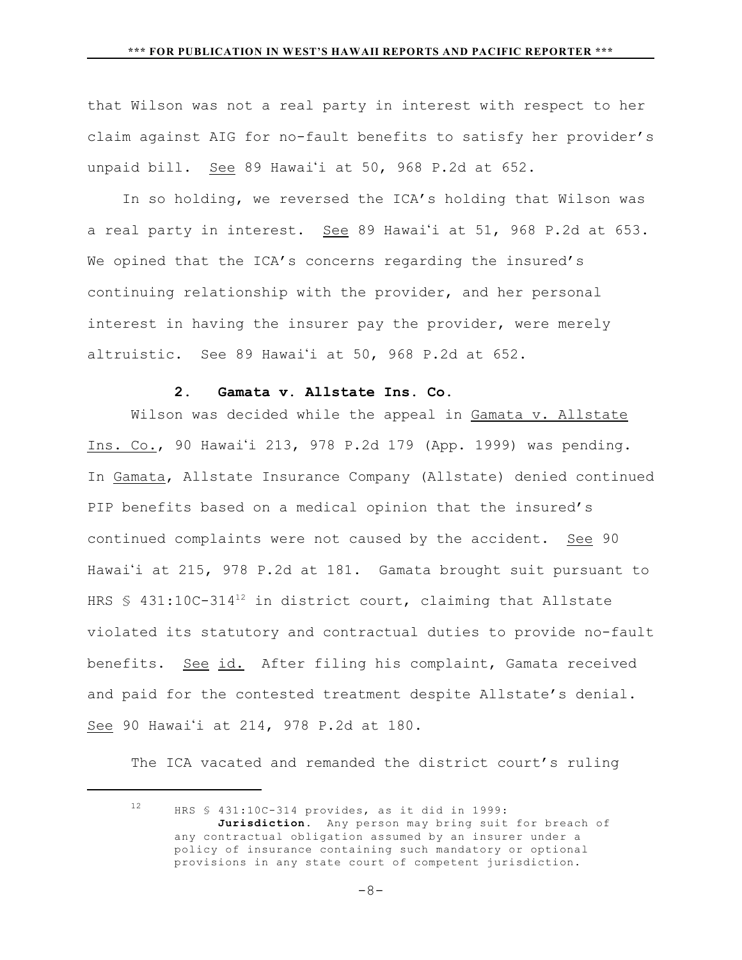that Wilson was not a real party in interest with respect to her claim against AIG for no-fault benefits to satisfy her provider's unpaid bill. See 89 Hawai'i at 50, 968 P.2d at 652.

 In so holding, we reversed the ICA's holding that Wilson was a real party in interest. See 89 Hawai'i at 51, 968 P.2d at 653. We opined that the ICA's concerns regarding the insured's continuing relationship with the provider, and her personal interest in having the insurer pay the provider, were merely altruistic. See 89 Hawai'i at 50, 968 P.2d at 652.

# **2. Gamata v. Allstate Ins. Co.**

Wilson was decided while the appeal in Gamata v. Allstate Ins. Co., 90 Hawai'i 213, 978 P.2d 179 (App. 1999) was pending. In Gamata, Allstate Insurance Company (Allstate) denied continued PIP benefits based on a medical opinion that the insured's continued complaints were not caused by the accident. See 90 Hawai'i at 215, 978 P.2d at 181. Gamata brought suit pursuant to HRS  $$ 431:10C-314^{12}$  in district court, claiming that Allstate violated its statutory and contractual duties to provide no-fault benefits. See id. After filing his complaint, Gamata received and paid for the contested treatment despite Allstate's denial. See 90 Hawai'i at 214, 978 P.2d at 180.

The ICA vacated and remanded the district court's ruling

 $12$  HRS § 431:10C-314 provides, as it did in 1999: Jurisdiction. Any person may bring suit for breach of any contractual obligation assumed by an insurer under a policy of insurance containing such mandatory or optional provisions in any state court of competent jurisdiction.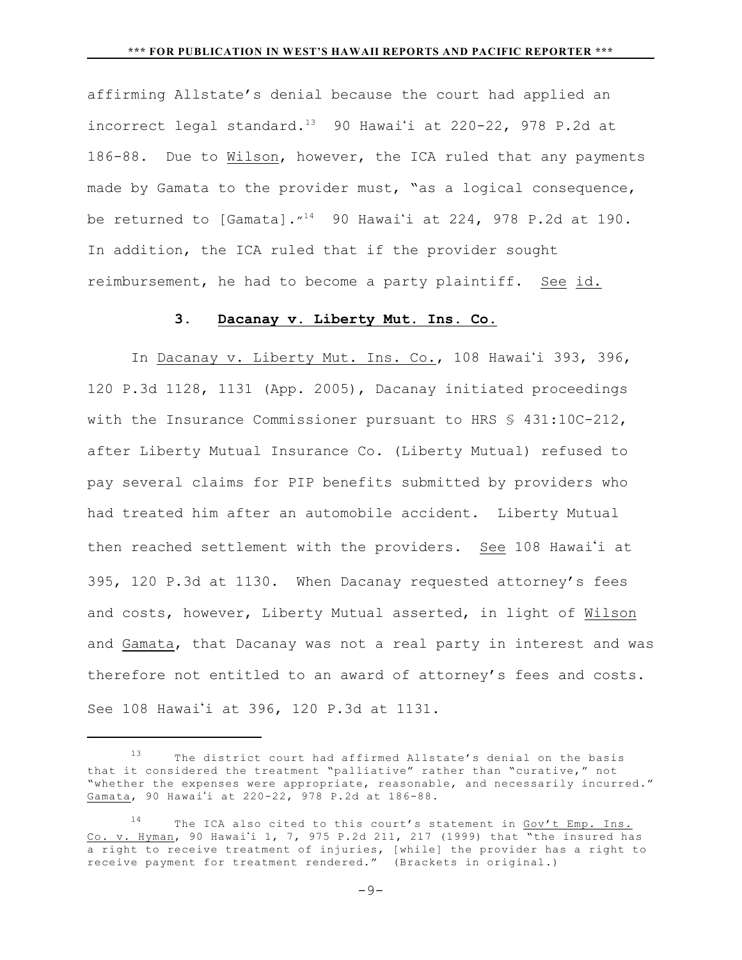affirming Allstate's denial because the court had applied an incorrect legal standard.<sup>13</sup> 90 Hawai'i at 220-22, 978 P.2d at 186-88. Due to Wilson, however, the ICA ruled that any payments made by Gamata to the provider must, "as a logical consequence, be returned to [Gamata]. $1^{14}$  90 Hawai'i at 224, 978 P.2d at 190. In addition, the ICA ruled that if the provider sought reimbursement, he had to become a party plaintiff. See id.

## **3. Dacanay v. Liberty Mut. Ins. Co.**

In Dacanay v. Liberty Mut. Ins. Co., 108 Hawai'i 393, 396, 120 P.3d 1128, 1131 (App. 2005), Dacanay initiated proceedings with the Insurance Commissioner pursuant to HRS § 431:10C-212, after Liberty Mutual Insurance Co. (Liberty Mutual) refused to pay several claims for PIP benefits submitted by providers who had treated him after an automobile accident. Liberty Mutual then reached settlement with the providers. See 108 Hawai'i at 395, 120 P.3d at 1130. When Dacanay requested attorney's fees and costs, however, Liberty Mutual asserted, in light of Wilson and Gamata, that Dacanay was not a real party in interest and was therefore not entitled to an award of attorney's fees and costs. See 108 Hawai'i at 396, 120 P.3d at 1131.

 $13$  The district court had affirmed Allstate's denial on the basis that it considered the treatment "palliative" rather than "curative," not "whether the expenses were appropriate, reasonable, and necessarily incurred." Gamata, 90 Hawai'i at 220-22, 978 P.2d at 186-88.

The ICA also cited to this court's statement in Gov't Emp. Ins. Co. v. Hyman, 90 Hawai'i 1, 7, 975 P.2d 211, 217 (1999) that "the insured has a right to receive treatment of injuries, [while] the provider has a right to receive payment for treatment rendered." (Brackets in original.)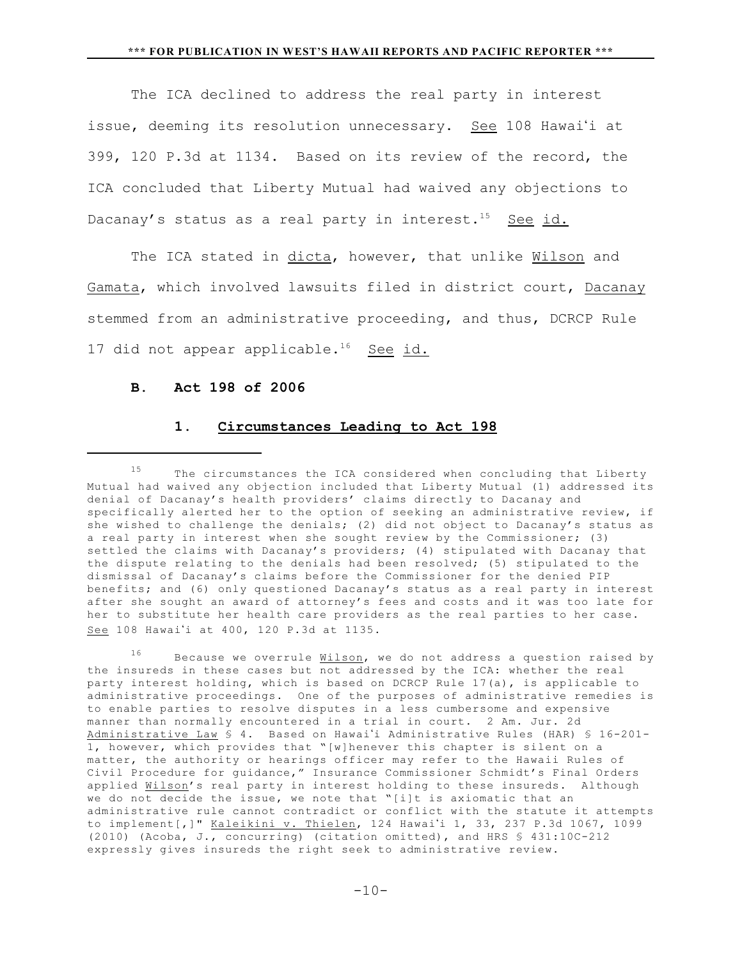The ICA declined to address the real party in interest issue, deeming its resolution unnecessary. See 108 Hawai'i at 399, 120 P.3d at 1134. Based on its review of the record, the ICA concluded that Liberty Mutual had waived any objections to Dacanay's status as a real party in interest.<sup>15</sup> See id.

The ICA stated in dicta, however, that unlike Wilson and Gamata, which involved lawsuits filed in district court, Dacanay stemmed from an administrative proceeding, and thus, DCRCP Rule 17 did not appear applicable.<sup>16</sup> See id.

## **B. Act 198 of 2006**

## **1. Circumstances Leading to Act 198**

 $16$  Because we overrule Wilson, we do not address a question raised by the insureds in these cases but not addressed by the ICA: whether the real party interest holding, which is based on DCRCP Rule 17(a), is applicable to administrative proceedings. One of the purposes of administrative remedies is to enable parties to resolve disputes in a less cumbersome and expensive manner than normally encountered in a trial in court. 2 Am. Jur. 2d Administrative Law § 4. Based on Hawai'i Administrative Rules (HAR) § 16-201-1, however, which provides that "[w]henever this chapter is silent on a matter, the authority or hearings officer may refer to the Hawaii Rules of Civil Procedure for guidance," Insurance Commissioner Schmidt's Final Orders applied Wilson's real party in interest holding to these insureds. Although we do not decide the issue, we note that "[i]t is axiomatic that an administrative rule cannot contradict or conflict with the statute it attempts to implement[,]" Kaleikini v. Thielen, 124 Hawai'i 1, 33, 237 P.3d 1067, 1099 (2010) (Acoba, J., concurring) (citation omitted), and HRS § 431:10C-212 expressly gives insureds the right seek to administrative review.

 $15$  The circumstances the ICA considered when concluding that Liberty Mutual had waived any objection included that Liberty Mutual (1) addressed its denial of Dacanay's health providers' claims directly to Dacanay and specifically alerted her to the option of seeking an administrative review, if she wished to challenge the denials; (2) did not object to Dacanay's status as a real party in interest when she sought review by the Commissioner; (3) settled the claims with Dacanay's providers; (4) stipulated with Dacanay that the dispute relating to the denials had been resolved; (5) stipulated to the dismissal of Dacanay's claims before the Commissioner for the denied PIP benefits; and (6) only questioned Dacanay's status as a real party in interest after she sought an award of attorney's fees and costs and it was too late for her to substitute her health care providers as the real parties to her case. See 108 Hawai'i at 400, 120 P.3d at 1135.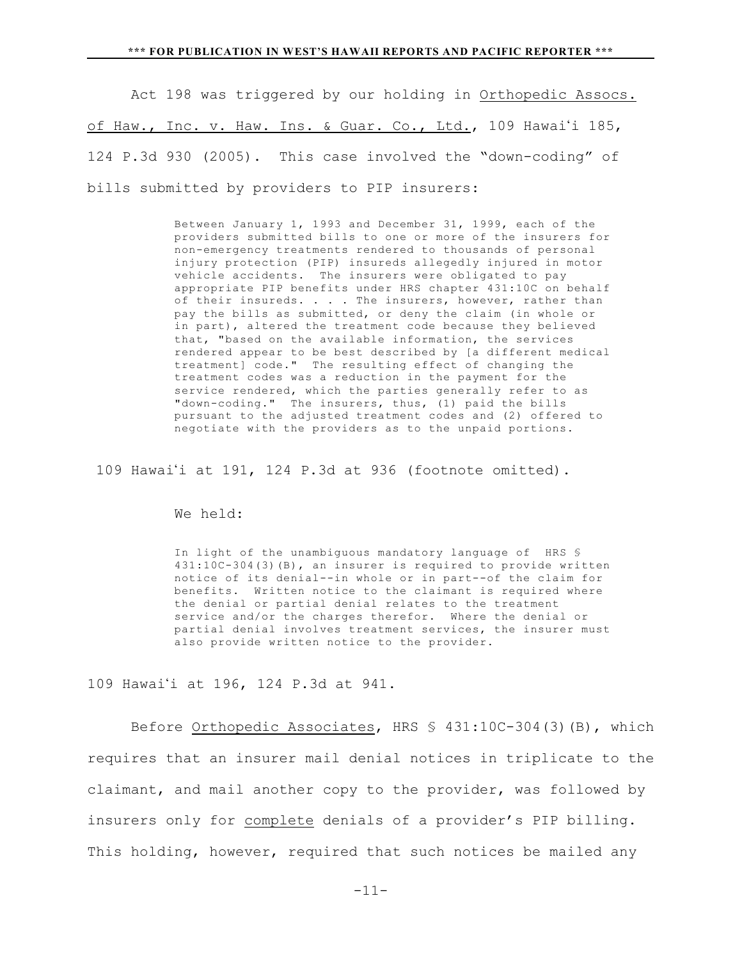Act 198 was triggered by our holding in Orthopedic Assocs. of Haw., Inc. v. Haw. Ins. & Guar. Co., Ltd., 109 Hawai'i 185, 124 P.3d 930 (2005). This case involved the "down-coding" of bills submitted by providers to PIP insurers:

> Between January 1, 1993 and December 31, 1999, each of the providers submitted bills to one or more of the insurers for non-emergency treatments rendered to thousands of personal injury protection (PIP) insureds allegedly injured in motor vehicle accidents. The insurers were obligated to pay appropriate PIP benefits under HRS chapter 431:10C on behalf of their insureds. . . . The insurers, however, rather than pay the bills as submitted, or deny the claim (in whole or in part), altered the treatment code because they believed that, "based on the available information, the services rendered appear to be best described by [a different medical treatment] code." The resulting effect of changing the treatment codes was a reduction in the payment for the service rendered, which the parties generally refer to as "down-coding." The insurers, thus, (1) paid the bills pursuant to the adjusted treatment codes and (2) offered to negotiate with the providers as to the unpaid portions.

109 Hawai'i at  $191$ ,  $124$  P.3d at  $936$  (footnote omitted).

We held:

In light of the unambiguous mandatory language of HRS § 431:10C-304(3)(B), an insurer is required to provide written notice of its denial--in whole or in part--of the claim for benefits. Written notice to the claimant is required where the denial or partial denial relates to the treatment service and/or the charges therefor. Where the denial or partial denial involves treatment services, the insurer must also provide written notice to the provider.

109 Hawai'i at 196, 124 P.3d at 941.

Before Orthopedic Associates, HRS § 431:10C-304(3)(B), which requires that an insurer mail denial notices in triplicate to the claimant, and mail another copy to the provider, was followed by insurers only for complete denials of a provider's PIP billing. This holding, however, required that such notices be mailed any

-11-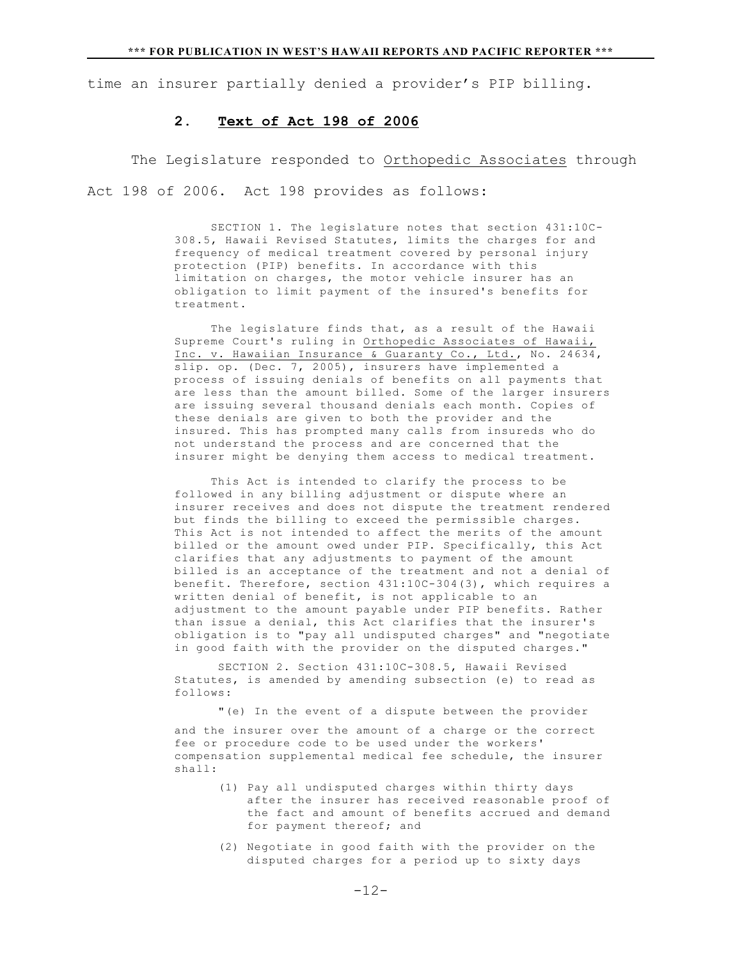time an insurer partially denied a provider's PIP billing.

### **2. Text of Act 198 of 2006**

The Legislature responded to Orthopedic Associates through Act 198 of 2006. Act 198 provides as follows:

> SECTION 1. The legislature notes that section 431:10C-308.5, Hawaii Revised Statutes, limits the charges for and frequency of medical treatment covered by personal injury protection (PIP) benefits. In accordance with this limitation on charges, the motor vehicle insurer has an obligation to limit payment of the insured's benefits for treatment.

 The legislature finds that, as a result of the Hawaii Supreme Court's ruling in Orthopedic Associates of Hawaii, Inc. v. Hawaiian Insurance & Guaranty Co., Ltd., No. 24634, slip. op. (Dec. 7, 2005), insurers have implemented a process of issuing denials of benefits on all payments that are less than the amount billed. Some of the larger insurers are issuing several thousand denials each month. Copies of these denials are given to both the provider and the insured. This has prompted many calls from insureds who do not understand the process and are concerned that the insurer might be denying them access to medical treatment.

 This Act is intended to clarify the process to be followed in any billing adjustment or dispute where an insurer receives and does not dispute the treatment rendered but finds the billing to exceed the permissible charges. This Act is not intended to affect the merits of the amount billed or the amount owed under PIP. Specifically, this Act clarifies that any adjustments to payment of the amount billed is an acceptance of the treatment and not a denial of benefit. Therefore, section 431:10C-304(3), which requires a written denial of benefit, is not applicable to an adjustment to the amount payable under PIP benefits. Rather than issue a denial, this Act clarifies that the insurer's obligation is to "pay all undisputed charges" and "negotiate in good faith with the provider on the disputed charges."

SECTION 2. Section 431:10C-308.5, Hawaii Revised Statutes, is amended by amending subsection (e) to read as follows:

"(e) In the event of a dispute between the provider

and the insurer over the amount of a charge or the correct fee or procedure code to be used under the workers' compensation supplemental medical fee schedule, the insurer shall:

- (1) Pay all undisputed charges within thirty days after the insurer has received reasonable proof of the fact and amount of benefits accrued and demand for payment thereof; and
- (2) Negotiate in good faith with the provider on the disputed charges for a period up to sixty days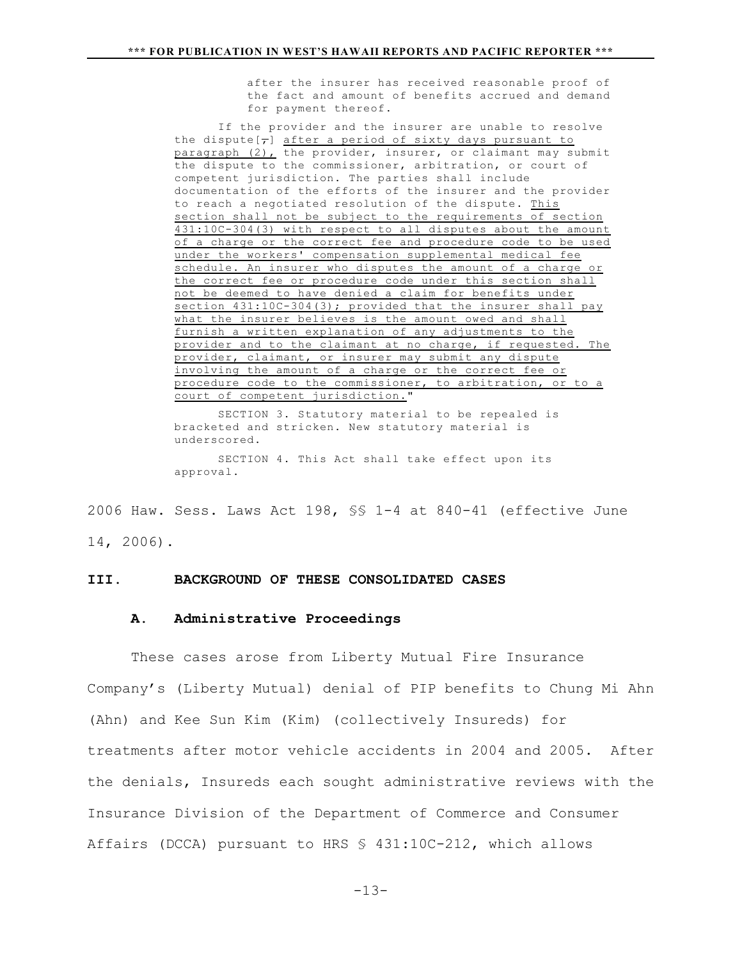after the insurer has received reasonable proof of the fact and amount of benefits accrued and demand for payment thereof.

If the provider and the insurer are unable to resolve the dispute  $\overline{z}$  after a period of sixty days pursuant to paragraph (2), the provider, insurer, or claimant may submit the dispute to the commissioner, arbitration, or court of competent jurisdiction. The parties shall include documentation of the efforts of the insurer and the provider to reach a negotiated resolution of the dispute. This section shall not be subject to the requirements of section 431:10C-304(3) with respect to all disputes about the amount of a charge or the correct fee and procedure code to be used under the workers' compensation supplemental medical fee schedule. An insurer who disputes the amount of a charge or the correct fee or procedure code under this section shall not be deemed to have denied a claim for benefits under section 431:10C-304(3); provided that the insurer shall pay what the insurer believes is the amount owed and shall furnish a written explanation of any adjustments to the provider and to the claimant at no charge, if requested. The provider, claimant, or insurer may submit any dispute involving the amount of a charge or the correct fee or procedure code to the commissioner, to arbitration, or to a court of competent jurisdiction."

SECTION 3. Statutory material to be repealed is bracketed and stricken. New statutory material is underscored. SECTION 4. This Act shall take effect upon its approval.

2006 Haw. Sess. Laws Act 198, §§ 1-4 at 840-41 (effective June 14, 2006).

### **III. BACKGROUND OF THESE CONSOLIDATED CASES**

#### **A. Administrative Proceedings**

These cases arose from Liberty Mutual Fire Insurance Company's (Liberty Mutual) denial of PIP benefits to Chung Mi Ahn (Ahn) and Kee Sun Kim (Kim) (collectively Insureds) for treatments after motor vehicle accidents in 2004 and 2005. After the denials, Insureds each sought administrative reviews with the Insurance Division of the Department of Commerce and Consumer Affairs (DCCA) pursuant to HRS § 431:10C-212, which allows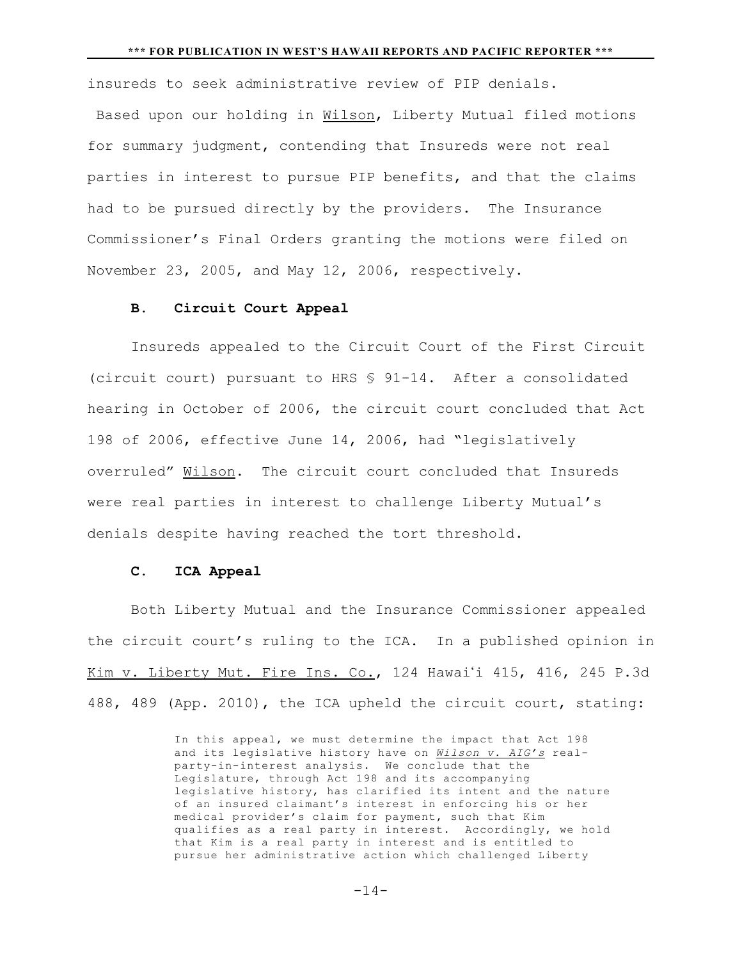insureds to seek administrative review of PIP denials. Based upon our holding in Wilson, Liberty Mutual filed motions for summary judgment, contending that Insureds were not real parties in interest to pursue PIP benefits, and that the claims had to be pursued directly by the providers. The Insurance Commissioner's Final Orders granting the motions were filed on November 23, 2005, and May 12, 2006, respectively.

## **B. Circuit Court Appeal**

Insureds appealed to the Circuit Court of the First Circuit (circuit court) pursuant to HRS § 91-14. After a consolidated hearing in October of 2006, the circuit court concluded that Act 198 of 2006, effective June 14, 2006, had "legislatively overruled" Wilson. The circuit court concluded that Insureds were real parties in interest to challenge Liberty Mutual's denials despite having reached the tort threshold.

#### **C. ICA Appeal**

Both Liberty Mutual and the Insurance Commissioner appealed the circuit court's ruling to the ICA. In a published opinion in Kim v. Liberty Mut. Fire Ins. Co., 124 Hawai'i 415, 416, 245 P.3d 488, 489 (App. 2010), the ICA upheld the circuit court, stating:

> In this appeal, we must determine the impact that Act 198 and its legislative history have on *Wilson v. AIG's* realparty-in-interest analysis. We conclude that the Legislature, through Act 198 and its accompanying legislative history, has clarified its intent and the nature of an insured claimant's interest in enforcing his or her medical provider's claim for payment, such that Kim qualifies as a real party in interest. Accordingly, we hold that Kim is a real party in interest and is entitled to pursue her administrative action which challenged Liberty

> > $-14-$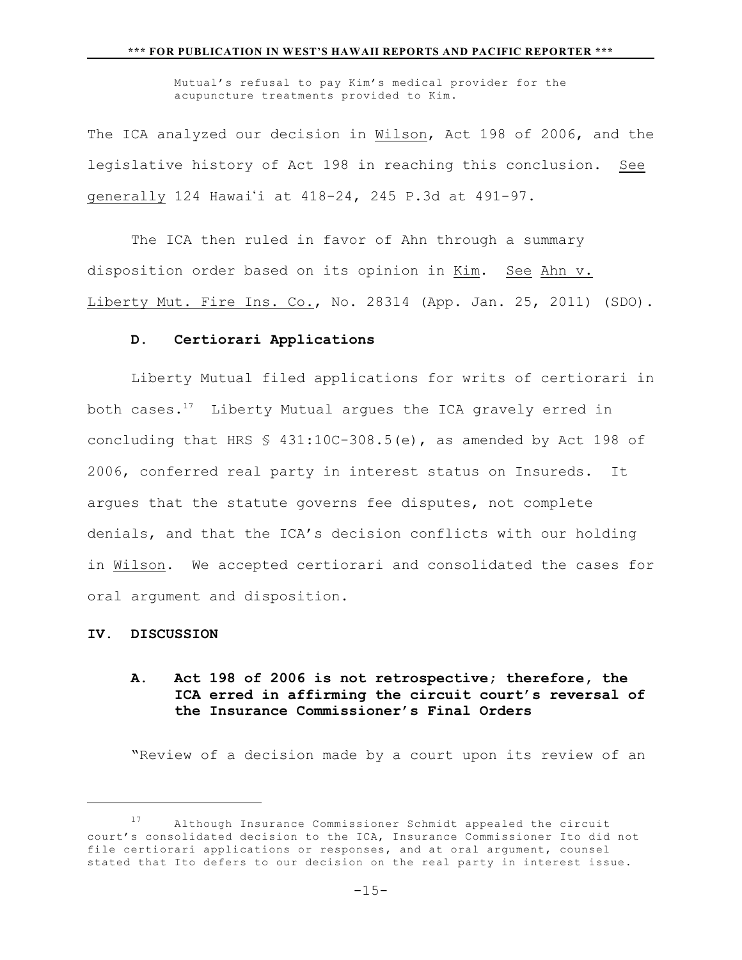Mutual's refusal to pay Kim's medical provider for the acupuncture treatments provided to Kim.

The ICA analyzed our decision in Wilson, Act 198 of 2006, and the legislative history of Act 198 in reaching this conclusion. See generally 124 Hawai'i at 418-24, 245 P.3d at 491-97.

The ICA then ruled in favor of Ahn through a summary disposition order based on its opinion in Kim. See Ahn v. Liberty Mut. Fire Ins. Co., No. 28314 (App. Jan. 25, 2011) (SDO).

## **D. Certiorari Applications**

Liberty Mutual filed applications for writs of certiorari in both cases. $17$  Liberty Mutual argues the ICA gravely erred in concluding that HRS § 431:10C-308.5(e), as amended by Act 198 of 2006, conferred real party in interest status on Insureds. It argues that the statute governs fee disputes, not complete denials, and that the ICA's decision conflicts with our holding in Wilson. We accepted certiorari and consolidated the cases for oral argument and disposition.

### **IV. DISCUSSION**

# **A. Act 198 of 2006 is not retrospective; therefore, the ICA erred in affirming the circuit court's reversal of the Insurance Commissioner's Final Orders**

"Review of a decision made by a court upon its review of an

Although Insurance Commissioner Schmidt appealed the circuit <sup>17</sup> court's consolidated decision to the ICA, Insurance Commissioner Ito did not file certiorari applications or responses, and at oral argument, counsel stated that Ito defers to our decision on the real party in interest issue.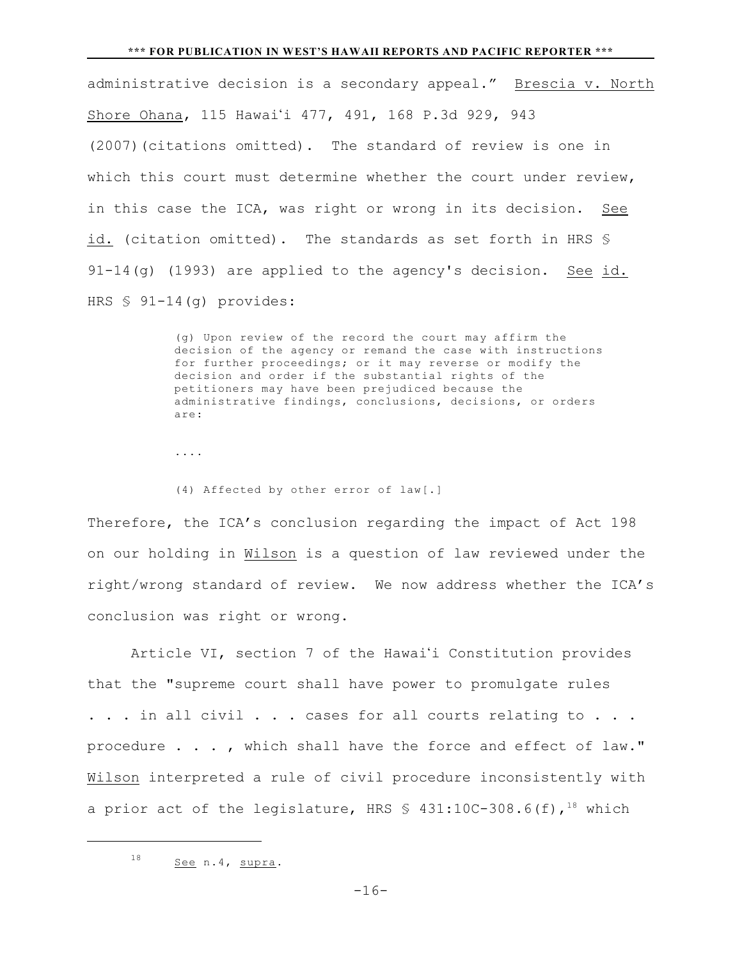#### **\*\*\* FOR PUBLICATION IN WEST'S HAWAII REPORTS AND PACIFIC REPORTER \*\*\***

administrative decision is a secondary appeal." Brescia v. North Shore Ohana, 115 Hawai'i 477, 491, 168 P.3d 929, 943 (2007)(citations omitted). The standard of review is one in which this court must determine whether the court under review, in this case the ICA, was right or wrong in its decision. See id. (citation omitted). The standards as set forth in HRS § 91-14(g) (1993) are applied to the agency's decision. See id. HRS § 91-14(g) provides:

> (g) Upon review of the record the court may affirm the decision of the agency or remand the case with instructions for further proceedings; or it may reverse or modify the decision and order if the substantial rights of the petitioners may have been prejudiced because the administrative findings, conclusions, decisions, or orders are:

- ....
- (4) Affected by other error of law[.]

Therefore, the ICA's conclusion regarding the impact of Act 198 on our holding in Wilson is a question of law reviewed under the right/wrong standard of review. We now address whether the ICA's conclusion was right or wrong.

Article VI, section 7 of the Hawai'i Constitution provides that the "supreme court shall have power to promulgate rules ... in all civil ... cases for all courts relating to ... procedure . . . , which shall have the force and effect of law." Wilson interpreted a rule of civil procedure inconsistently with a prior act of the legislature, HRS  $\frac{1}{2}$  431:10C-308.6(f),<sup>18</sup> which

 $18$  See n.4, supra.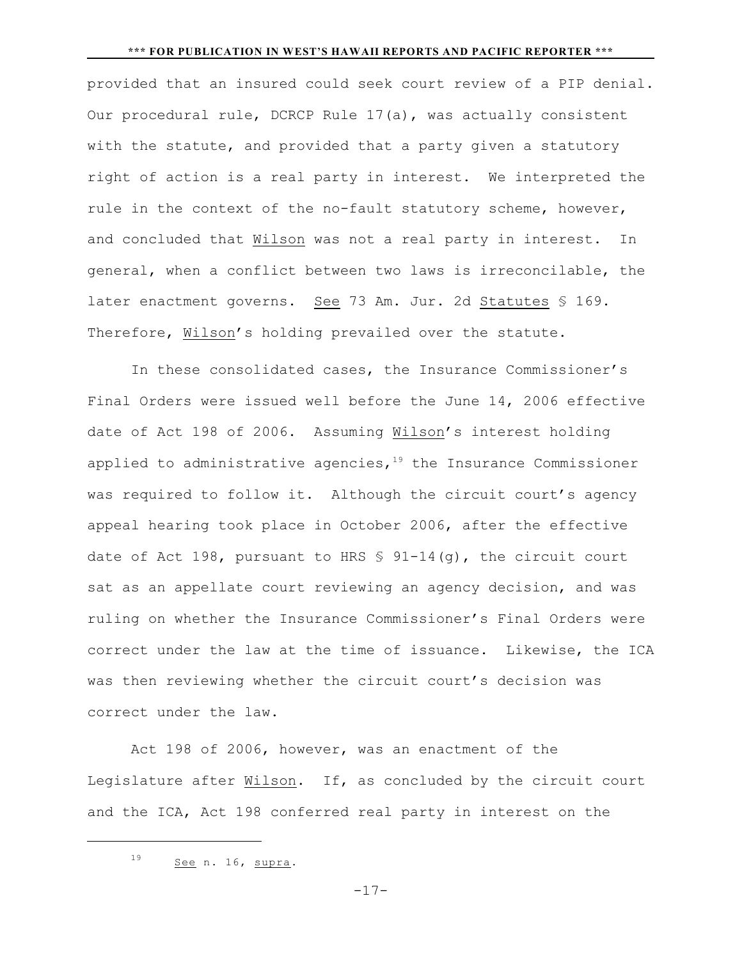#### **\*\*\* FOR PUBLICATION IN WEST'S HAWAII REPORTS AND PACIFIC REPORTER \*\*\***

provided that an insured could seek court review of a PIP denial. Our procedural rule, DCRCP Rule 17(a), was actually consistent with the statute, and provided that a party given a statutory right of action is a real party in interest. We interpreted the rule in the context of the no-fault statutory scheme, however, and concluded that Wilson was not a real party in interest. In general, when a conflict between two laws is irreconcilable, the later enactment governs. See 73 Am. Jur. 2d Statutes § 169. Therefore, Wilson's holding prevailed over the statute.

In these consolidated cases, the Insurance Commissioner's Final Orders were issued well before the June 14, 2006 effective date of Act 198 of 2006. Assuming Wilson's interest holding applied to administrative agencies,  $19$  the Insurance Commissioner was required to follow it. Although the circuit court's agency appeal hearing took place in October 2006, after the effective date of Act 198, pursuant to HRS  $\frac{1}{5}$  91-14(q), the circuit court sat as an appellate court reviewing an agency decision, and was ruling on whether the Insurance Commissioner's Final Orders were correct under the law at the time of issuance. Likewise, the ICA was then reviewing whether the circuit court's decision was correct under the law.

Act 198 of 2006, however, was an enactment of the Legislature after Wilson. If, as concluded by the circuit court and the ICA, Act 198 conferred real party in interest on the

 $-17-$ 

 $19$  See n. 16, supra.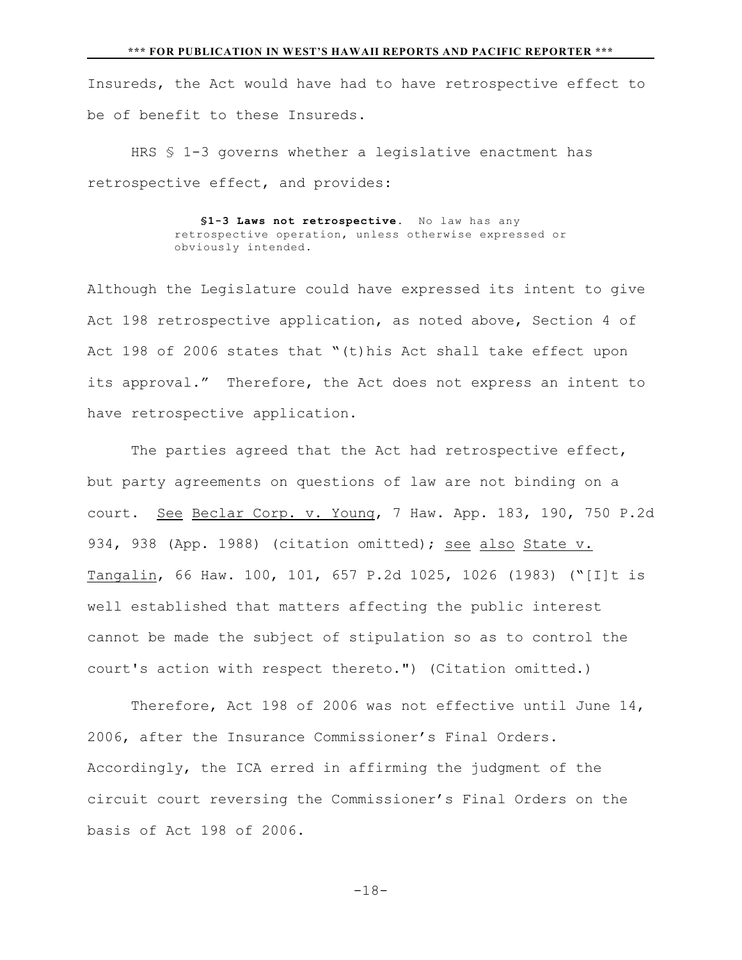Insureds, the Act would have had to have retrospective effect to be of benefit to these Insureds.

HRS § 1-3 governs whether a legislative enactment has retrospective effect, and provides:

> \$1-3 Laws not retrospective. No law has any retrospective operation, unless otherwise expressed or obviously intended.

Although the Legislature could have expressed its intent to give Act 198 retrospective application, as noted above, Section 4 of Act 198 of 2006 states that "(t)his Act shall take effect upon its approval." Therefore, the Act does not express an intent to have retrospective application.

The parties agreed that the Act had retrospective effect, but party agreements on questions of law are not binding on a court. See Beclar Corp. v. Young, 7 Haw. App. 183, 190, 750 P.2d 934, 938 (App. 1988) (citation omitted); see also State v. Tangalin, 66 Haw. 100, 101, 657 P.2d 1025, 1026 (1983) ("[I]t is well established that matters affecting the public interest cannot be made the subject of stipulation so as to control the court's action with respect thereto.") (Citation omitted.)

Therefore, Act 198 of 2006 was not effective until June 14, 2006, after the Insurance Commissioner's Final Orders. Accordingly, the ICA erred in affirming the judgment of the circuit court reversing the Commissioner's Final Orders on the basis of Act 198 of 2006.

 $-18-$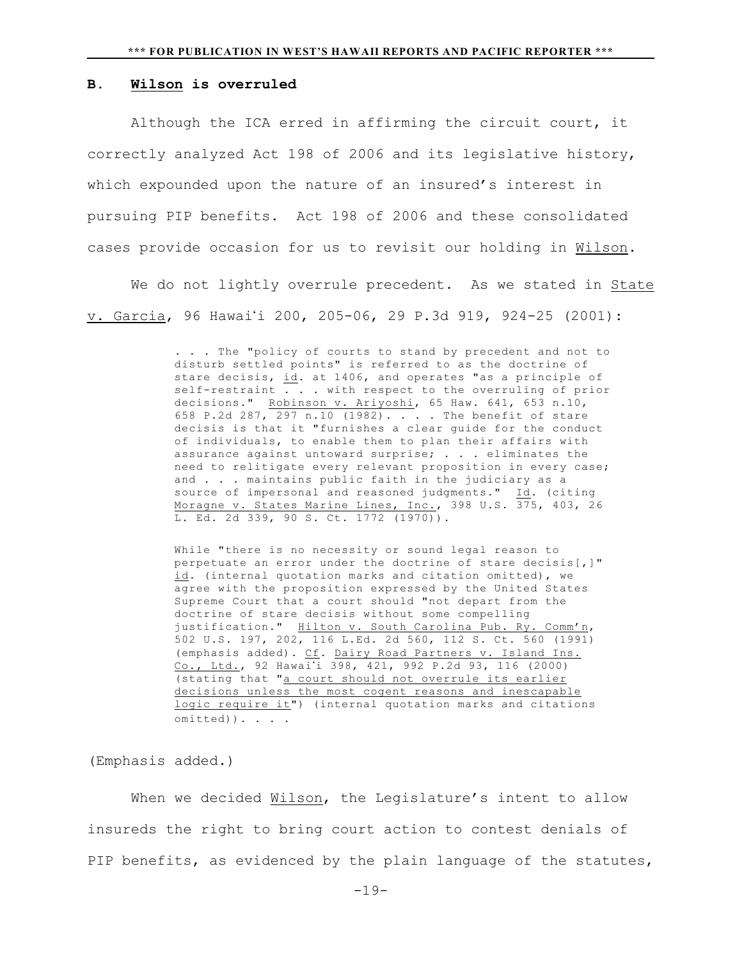### **B. Wilson is overruled**

Although the ICA erred in affirming the circuit court, it correctly analyzed Act 198 of 2006 and its legislative history, which expounded upon the nature of an insured's interest in pursuing PIP benefits. Act 198 of 2006 and these consolidated cases provide occasion for us to revisit our holding in Wilson.

We do not lightly overrule precedent. As we stated in State v. Garcia, 96 Hawai'i 200, 205-06, 29 P.3d 919, 924-25 (2001):

> . . . The "policy of courts to stand by precedent and not to disturb settled points" is referred to as the doctrine of stare decisis, id. at 1406, and operates "as a principle of self-restraint . . . with respect to the overruling of prior decisions." <u>Robinson v. Ariyoshi</u>, 65 Haw. 641, 653 n.10, 658 P.2d 287, 297 n.10 (1982). . . . The benefit of stare decisis is that it "furnishes a clear guide for the conduct of individuals, to enable them to plan their affairs with assurance against untoward surprise; . . . eliminates the need to relitigate every relevant proposition in every case; and . . . maintains public faith in the judiciary as a source of impersonal and reasoned judgments." Id. (citing Moragne v. States Marine Lines, Inc., 398 U.S. 375, 403, 26 L. Ed. 2d 339, 90 S. Ct. 1772 (1970)).

While "there is no necessity or sound legal reason to perpetuate an error under the doctrine of stare decisis[,]" id. (internal quotation marks and citation omitted), we agree with the proposition expressed by the United States Supreme Court that a court should "not depart from the doctrine of stare decisis without some compelling justification." Hilton v. South Carolina Pub. Ry. Comm'n, 502 U.S. 197, 202, 116 L.Ed. 2d 560, 112 S. Ct. 560 (1991) (emphasis added). Cf. Dairy Road Partners v. Island Ins. Co., Ltd., 92 Hawai'i 398, 421, 992 P.2d 93, 116 (2000) (stating that "a court should not overrule its earlier decisions unless the most cogent reasons and inescapable logic require it") (internal quotation marks and citations omitted)). . . .

(Emphasis added.)

When we decided Wilson, the Legislature's intent to allow insureds the right to bring court action to contest denials of PIP benefits, as evidenced by the plain language of the statutes,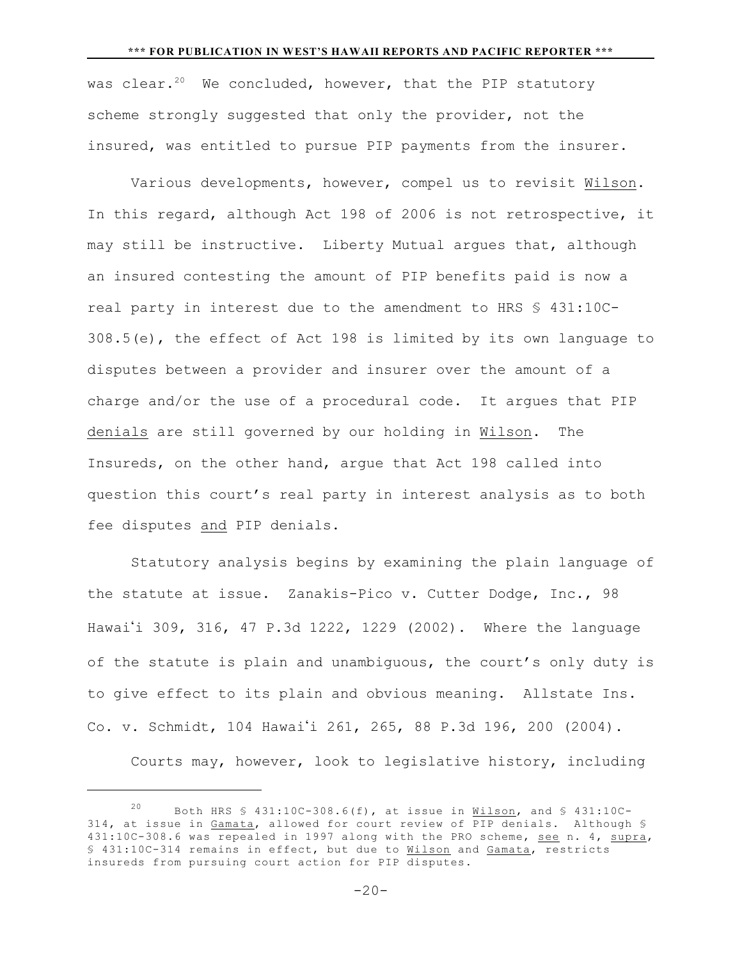#### **\*\*\* FOR PUBLICATION IN WEST'S HAWAII REPORTS AND PACIFIC REPORTER \*\*\***

was clear.<sup>20</sup> We concluded, however, that the PIP statutory scheme strongly suggested that only the provider, not the insured, was entitled to pursue PIP payments from the insurer.

Various developments, however, compel us to revisit Wilson. In this regard, although Act 198 of 2006 is not retrospective, it may still be instructive. Liberty Mutual argues that, although an insured contesting the amount of PIP benefits paid is now a real party in interest due to the amendment to HRS § 431:10C-308.5(e), the effect of Act 198 is limited by its own language to disputes between a provider and insurer over the amount of a charge and/or the use of a procedural code. It argues that PIP denials are still governed by our holding in Wilson. The Insureds, on the other hand, argue that Act 198 called into question this court's real party in interest analysis as to both fee disputes and PIP denials.

Statutory analysis begins by examining the plain language of the statute at issue. Zanakis-Pico v. Cutter Dodge, Inc., 98 Hawai'i 309, 316, 47 P.3d 1222, 1229 (2002). Where the language of the statute is plain and unambiguous, the court's only duty is to give effect to its plain and obvious meaning. Allstate Ins. Co. v. Schmidt, 104 Hawai'i 261, 265, 88 P.3d 196, 200 (2004).

Courts may, however, look to legislative history, including

<sup>20</sup> Both HRS  $\frac{1}{5}$  431:10C-308.6(f), at issue in Wilson, and  $\frac{1}{5}$  431:10C-314, at issue in Gamata, allowed for court review of PIP denials. Although § 431:10C-308.6 was repealed in 1997 along with the PRO scheme, see n. 4, supra, § 431:10C-314 remains in effect, but due to Wilson and Gamata, restricts insureds from pursuing court action for PIP disputes.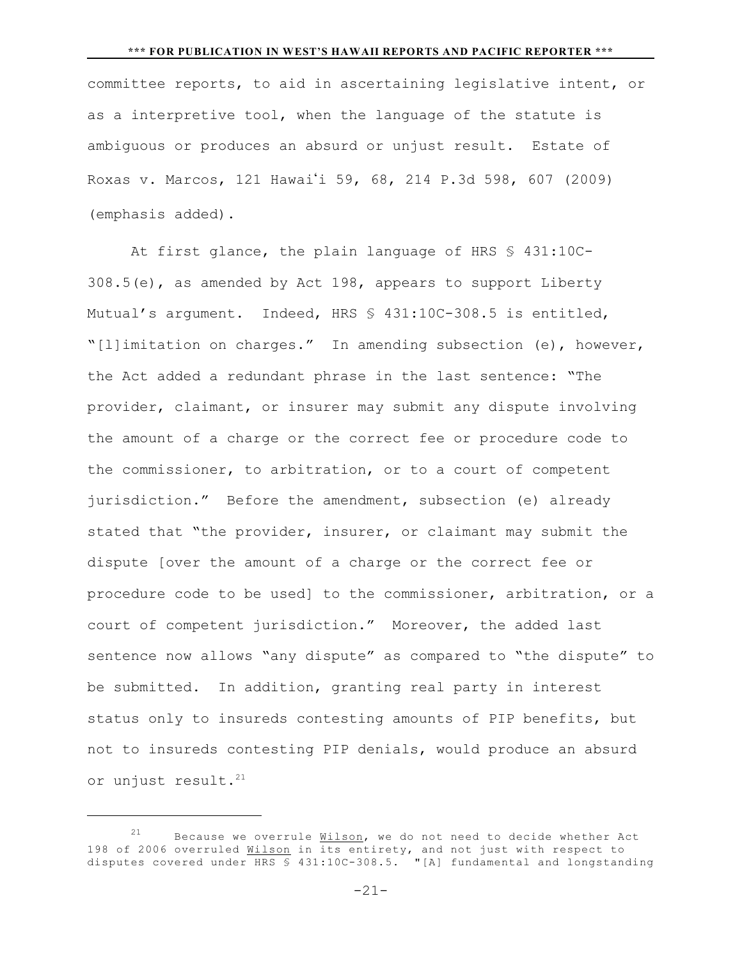committee reports, to aid in ascertaining legislative intent, or as a interpretive tool, when the language of the statute is ambiguous or produces an absurd or unjust result. Estate of Roxas v. Marcos, 121 Hawai'i 59, 68, 214 P.3d 598, 607 (2009) (emphasis added).

At first glance, the plain language of HRS § 431:10C-308.5(e), as amended by Act 198, appears to support Liberty Mutual's argument. Indeed, HRS § 431:10C-308.5 is entitled, "[l]imitation on charges." In amending subsection (e), however, the Act added a redundant phrase in the last sentence: "The provider, claimant, or insurer may submit any dispute involving the amount of a charge or the correct fee or procedure code to the commissioner, to arbitration, or to a court of competent jurisdiction." Before the amendment, subsection (e) already stated that "the provider, insurer, or claimant may submit the dispute [over the amount of a charge or the correct fee or procedure code to be used] to the commissioner, arbitration, or a court of competent jurisdiction." Moreover, the added last sentence now allows "any dispute" as compared to "the dispute" to be submitted. In addition, granting real party in interest status only to insureds contesting amounts of PIP benefits, but not to insureds contesting PIP denials, would produce an absurd or unjust result.<sup>21</sup>

-21-

Because we overrule Wilson, we do not need to decide whether Act 198 of 2006 overruled Wilson in its entirety, and not just with respect to disputes covered under HRS § 431:10C-308.5. "[A] fundamental and longstanding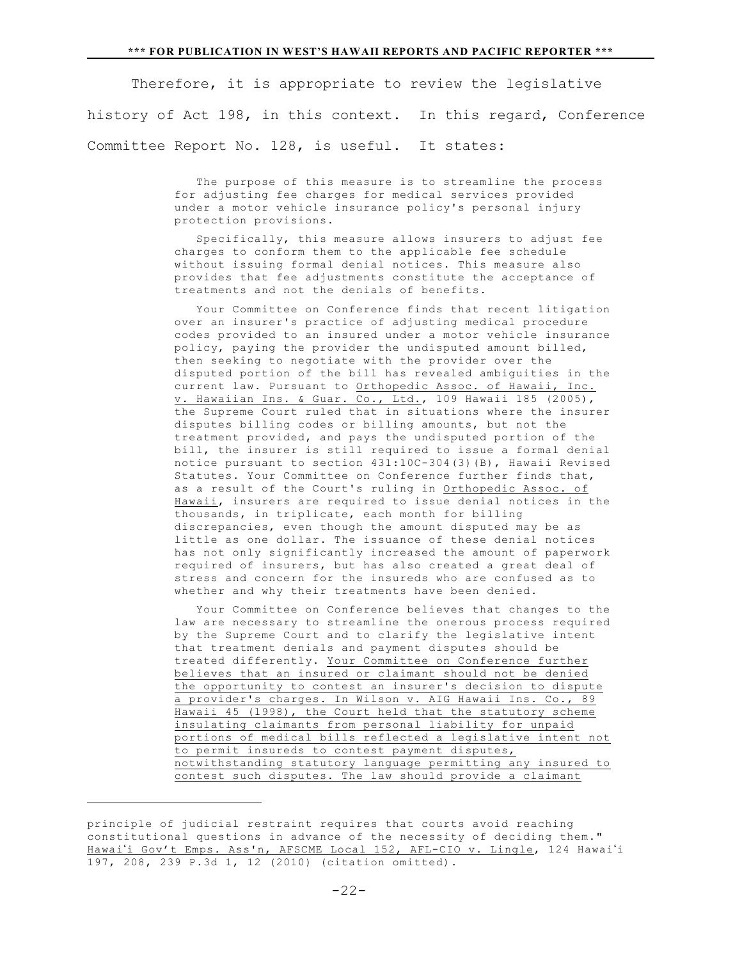Therefore, it is appropriate to review the legislative history of Act 198, in this context. In this regard, Conference Committee Report No. 128, is useful. It states:

> The purpose of this measure is to streamline the process for adjusting fee charges for medical services provided under a motor vehicle insurance policy's personal injury protection provisions.

> Specifically, this measure allows insurers to adjust fee charges to conform them to the applicable fee schedule without issuing formal denial notices. This measure also provides that fee adjustments constitute the acceptance of treatments and not the denials of benefits.

 Your Committee on Conference finds that recent litigation over an insurer's practice of adjusting medical procedure codes provided to an insured under a motor vehicle insurance policy, paying the provider the undisputed amount billed, then seeking to negotiate with the provider over the disputed portion of the bill has revealed ambiguities in the current law. Pursuant to Orthopedic Assoc. of Hawaii, Inc. v. Hawaiian Ins. & Guar. Co., Ltd., 109 Hawaii 185 (2005), the Supreme Court ruled that in situations where the insurer disputes billing codes or billing amounts, but not the treatment provided, and pays the undisputed portion of the bill, the insurer is still required to issue a formal denial notice pursuant to section 431:10C-304(3)(B), Hawaii Revised Statutes. Your Committee on Conference further finds that, as a result of the Court's ruling in Orthopedic Assoc. of Hawaii, insurers are required to issue denial notices in the thousands, in triplicate, each month for billing discrepancies, even though the amount disputed may be as little as one dollar. The issuance of these denial notices has not only significantly increased the amount of paperwork required of insurers, but has also created a great deal of stress and concern for the insureds who are confused as to whether and why their treatments have been denied.

 Your Committee on Conference believes that changes to the law are necessary to streamline the onerous process required by the Supreme Court and to clarify the legislative intent that treatment denials and payment disputes should be treated differently. Your Committee on Conference further believes that an insured or claimant should not be denied the opportunity to contest an insurer's decision to dispute a provider's charges. In Wilson v. AIG Hawaii Ins. Co., 89 Hawaii 45 (1998), the Court held that the statutory scheme insulating claimants from personal liability for unpaid portions of medical bills reflected a legislative intent not to permit insureds to contest payment disputes, notwithstanding statutory language permitting any insured to contest such disputes. The law should provide a claimant

principle of judicial restraint requires that courts avoid reaching constitutional questions in advance of the necessity of deciding them." Hawai'i Gov't Emps. Ass'n, AFSCME Local 152, AFL-CIO v. Lingle, 124 Hawai'i 197, 208, 239 P.3d 1, 12 (2010) (citation omitted).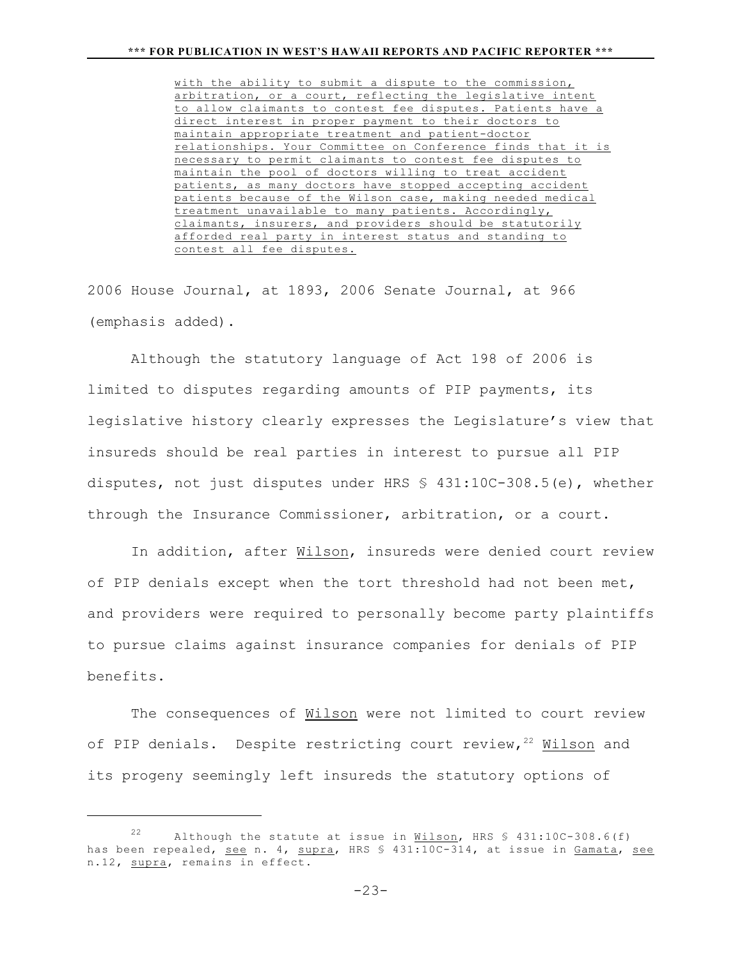with the ability to submit a dispute to the commission, arbitration, or a court, reflecting the legislative intent to allow claimants to contest fee disputes. Patients have a direct interest in proper payment to their doctors to maintain appropriate treatment and patient-doctor relationships. Your Committee on Conference finds that it is necessary to permit claimants to contest fee disputes to maintain the pool of doctors willing to treat accident patients, as many doctors have stopped accepting accident patients because of the Wilson case, making needed medical treatment unavailable to many patients. Accordingly, claimants, insurers, and providers should be statutorily afforded real party in interest status and standing to contest all fee disputes.

2006 House Journal, at 1893, 2006 Senate Journal, at 966 (emphasis added).

Although the statutory language of Act 198 of 2006 is limited to disputes regarding amounts of PIP payments, its legislative history clearly expresses the Legislature's view that insureds should be real parties in interest to pursue all PIP disputes, not just disputes under HRS  $\frac{6}{5}$  431:10C-308.5(e), whether through the Insurance Commissioner, arbitration, or a court.

In addition, after Wilson, insureds were denied court review of PIP denials except when the tort threshold had not been met, and providers were required to personally become party plaintiffs to pursue claims against insurance companies for denials of PIP benefits.

The consequences of Wilson were not limited to court review of PIP denials. Despite restricting court review,  $22$  Wilson and its progeny seemingly left insureds the statutory options of

Although the statute at issue in Wilson, HRS  $$ 431:10C-308.6(f)$ has been repealed, see n. 4, supra, HRS § 431:10C-314, at issue in Gamata, see n.12, supra, remains in effect.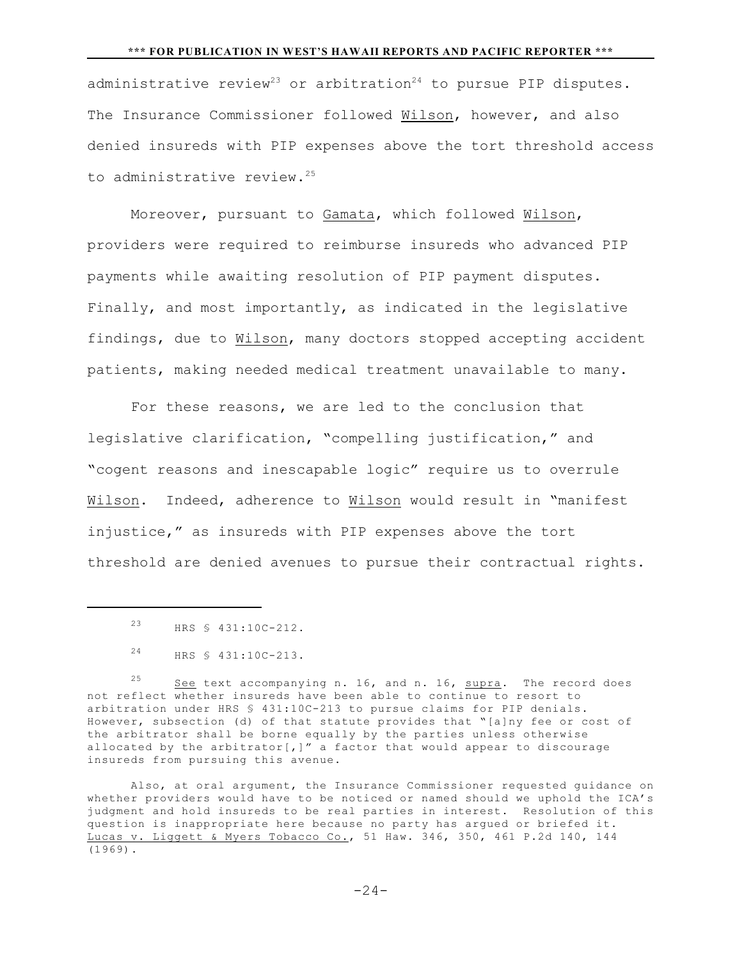#### **\*\*\* FOR PUBLICATION IN WEST'S HAWAII REPORTS AND PACIFIC REPORTER \*\*\***

administrative review<sup>23</sup> or arbitration<sup>24</sup> to pursue PIP disputes. The Insurance Commissioner followed Wilson, however, and also denied insureds with PIP expenses above the tort threshold access to administrative review.<sup>25</sup>

Moreover, pursuant to Gamata, which followed Wilson, providers were required to reimburse insureds who advanced PIP payments while awaiting resolution of PIP payment disputes. Finally, and most importantly, as indicated in the legislative findings, due to Wilson, many doctors stopped accepting accident patients, making needed medical treatment unavailable to many.

For these reasons, we are led to the conclusion that legislative clarification, "compelling justification," and "cogent reasons and inescapable logic" require us to overrule Wilson. Indeed, adherence to Wilson would result in "manifest injustice," as insureds with PIP expenses above the tort threshold are denied avenues to pursue their contractual rights.

<sup>25</sup> See text accompanying n. 16, and n. 16, supra. The record does not reflect whether insureds have been able to continue to resort to arbitration under HRS § 431:10C-213 to pursue claims for PIP denials. However, subsection (d) of that statute provides that "[a]ny fee or cost of the arbitrator shall be borne equally by the parties unless otherwise allocated by the arbitrator[,]" a factor that would appear to discourage insureds from pursuing this avenue.

Also, at oral argument, the Insurance Commissioner requested guidance on whether providers would have to be noticed or named should we uphold the ICA's judgment and hold insureds to be real parties in interest. Resolution of this question is inappropriate here because no party has argued or briefed it. Lucas v. Liggett & Myers Tobacco Co., 51 Haw. 346, 350, 461 P.2d 140, 144 (1969).

 $-24-$ 

<sup>&</sup>lt;sup>23</sup> HRS § 431:10C-212.

HRS § 431:10C-213. <sup>24</sup>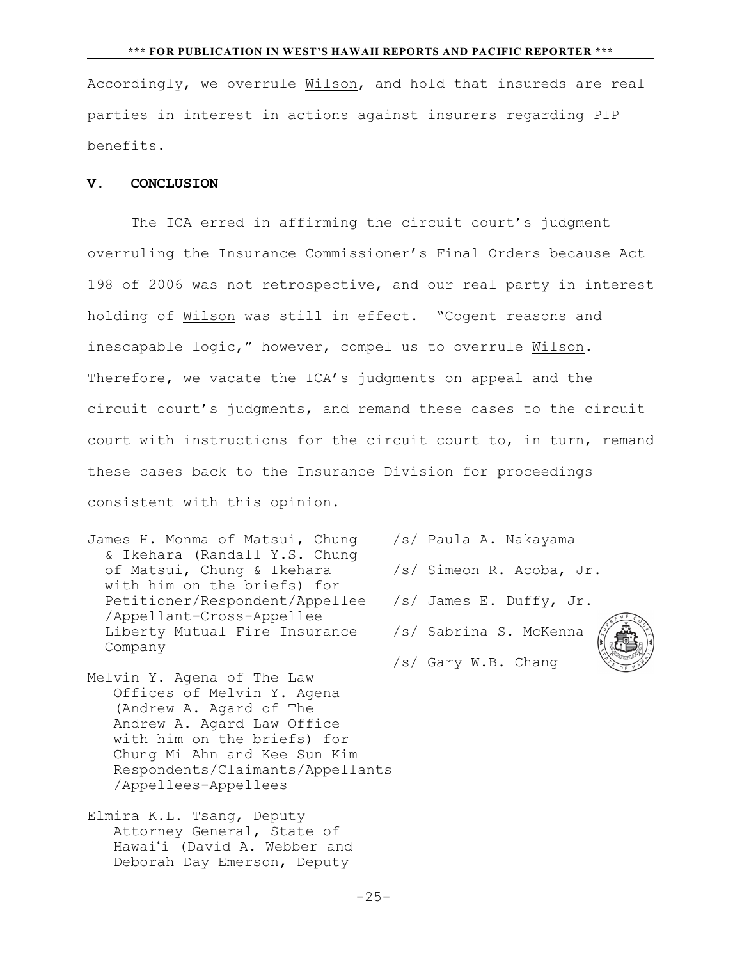Accordingly, we overrule Wilson, and hold that insureds are real parties in interest in actions against insurers regarding PIP benefits.

## **V. CONCLUSION**

The ICA erred in affirming the circuit court's judgment overruling the Insurance Commissioner's Final Orders because Act 198 of 2006 was not retrospective, and our real party in interest holding of Wilson was still in effect. "Cogent reasons and inescapable logic," however, compel us to overrule Wilson. Therefore, we vacate the ICA's judgments on appeal and the circuit court's judgments, and remand these cases to the circuit court with instructions for the circuit court to, in turn, remand these cases back to the Insurance Division for proceedings consistent with this opinion.

- James H. Monma of Matsui, Chung /s/ Paula A. Nakayama & Ikehara (Randall Y.S. Chung of Matsui, Chung & Ikehara /s/ Simeon R. Acoba, Jr. with him on the briefs) for Petitioner/Respondent/Appellee /s/ James E. Duffy, Jr. /Appellant-Cross-Appellee Liberty Mutual Fire Insurance /s/ Sabrina S. McKenna Company
- Melvin Y. Agena of The Law Offices of Melvin Y. Agena (Andrew A. Agard of The Andrew A. Agard Law Office with him on the briefs) for Chung Mi Ahn and Kee Sun Kim Respondents/Claimants/Appellants /Appellees-Appellees
- Elmira K.L. Tsang, Deputy Attorney General, State of Hawai'i (David A. Webber and Deborah Day Emerson, Deputy
- 
- 
- 

/s/ Gary W.B. Chang